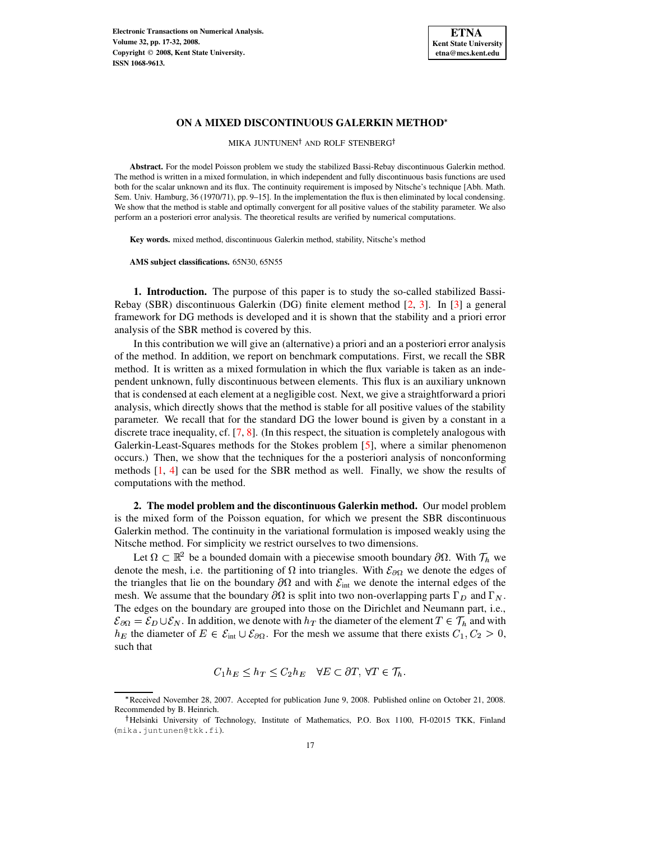

MIKA JUNTUNEN<sup>†</sup> AND ROLF STENBERG<sup>†</sup>

**Abstract.** For the model Poisson problem we study the stabilized Bassi-Rebay discontinuous Galerkin method. The method is written in a mixed formulation, in which independent and fully discontinuous basis functions are used both for the scalar unknown and its flux. The continuity requirement is imposed by Nitsche's technique [Abh. Math. Sem. Univ. Hamburg, 36 (1970/71), pp. 9–15]. In the implementation the flux is then eliminated by local condensing. We show that the method is stable and optimally convergent for all positive values of the stability parameter. We also perform an a posteriori error analysis. The theoretical results are verified by numerical computations.

**Key words.** mixed method, discontinuous Galerkin method, stability, Nitsche's method

**AMS subject classifications.** 65N30, 65N55

**1. Introduction.** The purpose of this paper is to study the so-called stabilized Bassi-Rebay (SBR) discontinuous Galerkin (DG) finite element method [\[2,](#page-15-0) [3\]](#page-15-1). In [\[3\]](#page-15-1) a general framework for DG methods is developed and it is shown that the stability and a priori error analysis of the SBR method is covered by this.

In this contribution we will give an (alternative) a priori and an a posteriori error analysis of the method. In addition, we report on benchmark computations. First, we recall the SBR method. It is written as a mixed formulation in which the flux variable is taken as an independent unknown, fully discontinuous between elements. This flux is an auxiliary unknown that is condensed at each element at a negligible cost. Next, we give a straightforward a priori analysis, which directly shows that the method is stable for all positive values of the stability parameter. We recall that for the standard DG the lower bound is given by a constant in a discrete trace inequality, cf.  $[7, 8]$  $[7, 8]$  $[7, 8]$ . (In this respect, the situation is completely analogous with Galerkin-Least-Squares methods for the Stokes problem [\[5\]](#page-15-4), where a similar phenomenon occurs.) Then, we show that the techniques for the a posteriori analysis of nonconforming methods [\[1,](#page-15-5) [4\]](#page-15-6) can be used for the SBR method as well. Finally, we show the results of computations with the method.

**2. The model problem and the discontinuous Galerkin method.** Our model problem is the mixed form of the Poisson equation, for which we present the SBR discontinuous Galerkin method. The continuity in the variational formulation is imposed weakly using the Nitsche method. For simplicity we restrict ourselves to two dimensions.

Let  $\Omega \subset \mathbb{R}^2$  be a bounded domain with a piecewise smooth boundary  $\partial \Omega$ . With  $\mathcal{T}_h$  we denote the mesh, i.e. the partitioning of  $\Omega$  into triangles. With  $\mathcal{E}_{\partial\Omega}$  we denote the edges of the triangles that lie on the boundary  $\partial\Omega$  and with  $\mathcal{E}_{int}$  we denote the internal edges of the mesh. We assume that the boundary  $\partial\Omega$  is split into two non-overlapping parts  $\Gamma_D$  and  $\Gamma_N$ . The edges on the boundary are grouped into those on the Dirichlet and Neumann part, i.e.,  $\mathcal{E}_{\partial\Omega} = \mathcal{E}_D \cup \mathcal{E}_N$ . In addition, we denote with  $h_T$  the diameter of the element  $T \in \mathcal{T}_h$  and with  $h_E$  the diameter of  $E \in \mathcal{E}_{int} \cup \mathcal{E}_{\partial \Omega}$ . For the mesh we assume that there exists  $C_1, C_2 > 0$ , such that

$$
C_1 h_E \leq h_T \leq C_2 h_E \quad \forall E \subset \partial T, \ \forall T \in \mathcal{T}_h.
$$

<sup>A</sup> Received November 28, 2007. Accepted for publication June 9, 2008. Published online on October 21, 2008. Recommended by B. Heinrich.

<sup>&</sup>lt;sup>†</sup>Helsinki University of Technology, Institute of Mathematics, P.O. Box 1100, FI-02015 TKK, Finland (mika.juntunen@tkk.fi).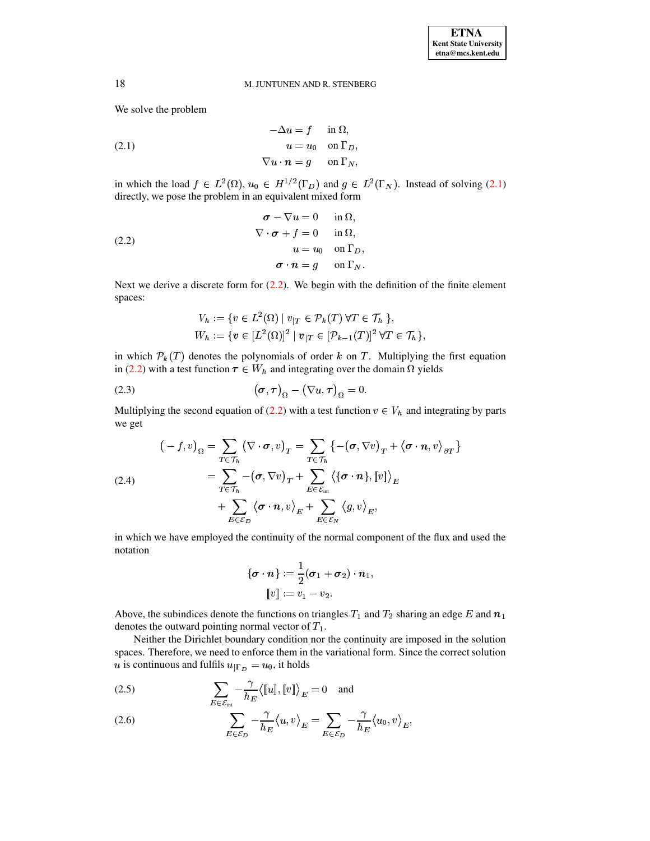<span id="page-1-0"></span>We solve the problem

(2.1) 
$$
-\Delta u = f \quad \text{in } \Omega,
$$

$$
u = u_0 \quad \text{on } \Gamma_D,
$$

$$
\nabla u \cdot \mathbf{n} = g \quad \text{on } \Gamma_N,
$$

in which the load  $f \in L^2(\Omega)$ ,  $u_0 \in H^{1/2}(\Gamma_D)$  and  $g \in L^2(\Gamma_N)$ . Instead of solving [\(2.1\)](#page-1-0) directly, we pose the problem in an equivalent mixed form

(2.2) 
$$
\begin{aligned}\n\sigma - \nabla u &= 0 \quad \text{in } \Omega, \\
\nabla \cdot \sigma + f &= 0 \quad \text{in } \Omega, \\
u &= u_0 \quad \text{on } \Gamma_D, \\
\sigma \cdot n &= g \quad \text{on } \Gamma_N.\n\end{aligned}
$$

Next we derive a discrete form for  $(2.2)$ . We begin with the definition of the finite element spaces:

<span id="page-1-3"></span><span id="page-1-1"></span>
$$
V_h := \{ v \in L^2(\Omega) \mid v_{|T} \in \mathcal{P}_k(T) \,\forall T \in \mathcal{T}_h \,\},
$$
  
\n
$$
W_h := \{ v \in [L^2(\Omega)]^2 \mid v_{|T} \in [\mathcal{P}_{k-1}(T)]^2 \,\forall T \in \mathcal{T}_h \},
$$

in which  $\mathcal{P}_k(T)$  denotes the polynomials of order k on T. Multiplying the first equation in [\(2.2\)](#page-1-1) with a test function  $\tau \in W_h$  and integrating over the domain  $\Omega$  yields

(2.3) 
$$
(\boldsymbol{\sigma}, \boldsymbol{\tau})_{\Omega} - (\nabla u, \boldsymbol{\tau})_{\Omega} = 0.
$$

Multiplying the second equation of [\(2.2\)](#page-1-1) with a test function  $v \in V_h$  and integrating by parts we get

(2.4)  
\n
$$
(-f, v)_{\Omega} = \sum_{T \in \mathcal{T}_h} (\nabla \cdot \boldsymbol{\sigma}, v)_T = \sum_{T \in \mathcal{T}_h} \{-(\boldsymbol{\sigma}, \nabla v)_T + \langle \boldsymbol{\sigma} \cdot \boldsymbol{n}, v \rangle_{\partial T}\}
$$
\n
$$
= \sum_{T \in \mathcal{T}_h} -(\boldsymbol{\sigma}, \nabla v)_T + \sum_{E \in \mathcal{E}_{int}} \langle {\{\boldsymbol{\sigma} \cdot \boldsymbol{n}\}, [v]} \rangle_E
$$
\n
$$
+ \sum_{E \in \mathcal{E}_D} \langle {\boldsymbol{\sigma} \cdot \boldsymbol{n}, v} \rangle_E + \sum_{E \in \mathcal{E}_N} \langle g, v \rangle_E,
$$

in which we have employed the continuity of the normal component of the flux and used the notation

$$
\{\boldsymbol{\sigma}\cdot\boldsymbol{n}\}:=\frac{1}{2}(\boldsymbol{\sigma}_1+\boldsymbol{\sigma}_2)\cdot\boldsymbol{n}_1,\\ \llbracket v\rrbracket:=v_1-v_2.
$$

Above, the subindices denote the functions on triangles  $T_1$  and  $T_2$  sharing an edge E and  $n_1$ denotes the outward pointing normal vector of  $T_1$ .

Neither the Dirichlet boundary condition nor the continuity are imposed in the solution spaces. Therefore, we need to enforce them in the variational form. Since the correct solution u is continuous and fulfils  $u_{\Gamma_D} = u_0$ , it holds

<span id="page-1-2"></span>(2.5) 
$$
\sum_{E \in \mathcal{E}_{int}} -\frac{\gamma}{h_E} \langle [u], [v] \rangle_E = 0 \text{ and}
$$

(2.6) 
$$
\sum_{E \in \mathcal{E}_D} -\frac{\gamma}{h_E} \langle u, v \rangle_E = \sum_{E \in \mathcal{E}_D} -\frac{\gamma}{h_E} \langle u_0, v \rangle_E,
$$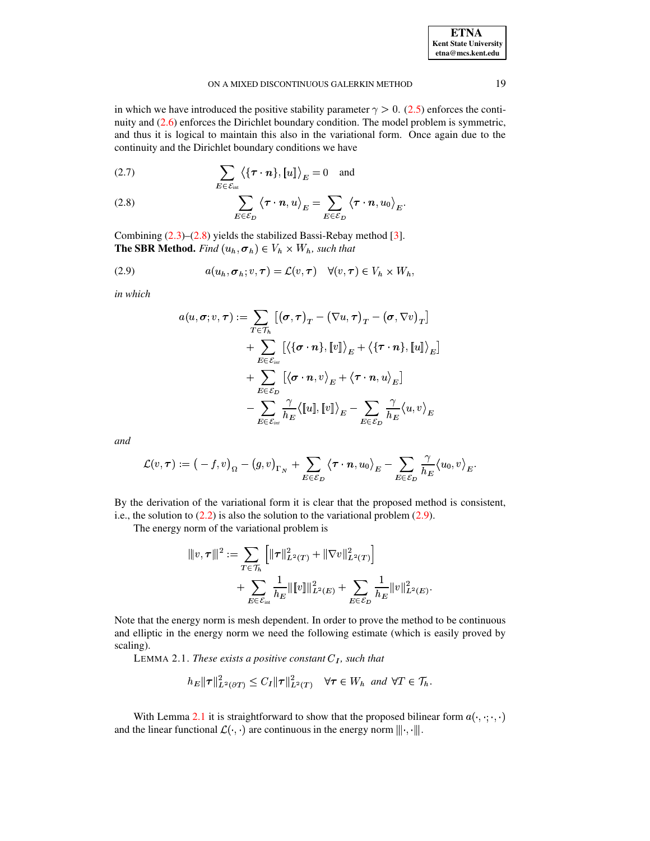| <b>ETNA</b>                  |
|------------------------------|
| <b>Kent State University</b> |
| etna@mcs.kent.edu            |

in which we have introduced the positive stability parameter  $\gamma > 0$ . (2.5) enforces the continuity and  $(2.6)$  enforces the Dirichlet boundary condition. The model problem is symmetric, and thus it is logical to maintain this also in the variational form. Once again due to the continuity and the Dirichlet boundary conditions we have

<span id="page-2-0"></span>(2.7) 
$$
\sum_{E \in \mathcal{E}_{int}} \langle \{\boldsymbol{\tau} \cdot \boldsymbol{n}\}, [u]\rangle_E = 0 \text{ and}
$$

(2.8) 
$$
\sum_{E \in \mathcal{E}_D} \langle \tau \cdot \mathbf{n}, u \rangle_E = \sum_{E \in \mathcal{E}_D} \langle \tau \cdot \mathbf{n}, u_0 \rangle_E
$$

Combining  $(2.3)$ – $(2.8)$  yields the stabilized Bassi-Rebay method [3]. **The SBR Method.** Find  $(u_h, \sigma_h) \in V_h \times W_h$ , such that

(2.9) 
$$
a(u_h, \sigma_h; v, \tau) = \mathcal{L}(v, \tau) \quad \forall (v, \tau) \in V_h \times W_h,
$$

in which

<span id="page-2-1"></span>
$$
a(u, \sigma; v, \tau) := \sum_{T \in \mathcal{T}_h} \left[ (\sigma, \tau)_T - (\nabla u, \tau)_T - (\sigma, \nabla v)_T \right] + \sum_{E \in \mathcal{E}_{int}} \left[ \langle \{ \sigma \cdot n \}, \llbracket v \rrbracket \rangle_E + \langle \{ \tau \cdot n \}, \llbracket u \rrbracket \rangle_E \right] + \sum_{E \in \mathcal{E}_D} \left[ \langle \sigma \cdot n, v \rangle_E + \langle \tau \cdot n, u \rangle_E \right] - \sum_{E \in \mathcal{E}_{int}} \frac{\gamma}{h_E} \langle \llbracket u \rrbracket, \llbracket v \rrbracket \rangle_E - \sum_{E \in \mathcal{E}_D} \frac{\gamma}{h_E} \langle u, v \rangle_E
$$

and

$$
\mathcal{L}(v,\tau) := (-f,v)_{\Omega} - (g,v)_{\Gamma_N} + \sum_{E \in \mathcal{E}_D} \langle \tau \cdot n, u_0 \rangle_E - \sum_{E \in \mathcal{E}_D} \frac{\gamma}{h_E} \langle u_0, v \rangle_E.
$$

By the derivation of the variational form it is clear that the proposed method is consistent, i.e., the solution to  $(2.2)$  is also the solution to the variational problem  $(2.9)$ .

The energy norm of the variational problem is

$$
\begin{aligned} |||v,\tau|||^2 &:= \sum_{T \in \mathcal{T}_h} \left[ \|\tau\|_{L^2(T)}^2 + \|\nabla v\|_{L^2(T)}^2 \right] \\ &+ \sum_{E \in \mathcal{E}_{\text{int}}} \frac{1}{h_E} \|\llbracket v \rrbracket \|_{L^2(E)}^2 + \sum_{E \in \mathcal{E}_D} \frac{1}{h_E} \|v\|_{L^2(E)}^2 \end{aligned}
$$

<span id="page-2-2"></span>Note that the energy norm is mesh dependent. In order to prove the method to be continuous and elliptic in the energy norm we need the following estimate (which is easily proved by scaling).

LEMMA 2.1. These exists a positive constant  $C_I$ , such that

$$
h_E \|\boldsymbol{\tau}\|_{L^2(\partial T)}^2 \le C_I \|\boldsymbol{\tau}\|_{L^2(T)}^2 \quad \forall \boldsymbol{\tau} \in W_h \text{ and } \forall T \in \mathcal{T}_h.
$$

With Lemma 2.1 it is straightforward to show that the proposed bilinear form  $a(\cdot, \cdot; \cdot, \cdot)$ and the linear functional  $\mathcal{L}(\cdot, \cdot)$  are continuous in the energy norm  $\|\cdot, \cdot\|$ .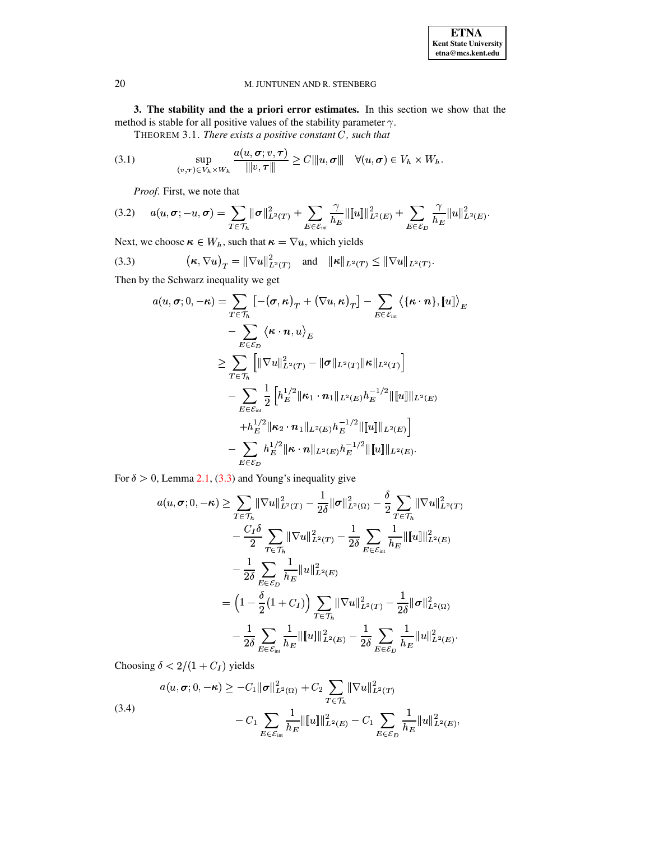3. The stability and the a priori error estimates. In this section we show that the method is stable for all positive values of the stability parameter  $\gamma$ .

THEOREM 3.1. There exists a positive constant  $C$ , such that

(3.1) 
$$
\sup_{(v,\tau)\in V_h\times W_h} \frac{a(u,\sigma; v,\tau)}{\| |v,\tau| \|} \geq C \| |u,\sigma| \| \quad \forall (u,\sigma) \in V_h \times W_h
$$

<span id="page-3-3"></span><span id="page-3-1"></span>Proof. First, we note that

$$
(3.2) \quad a(u,\sigma;-u,\sigma) = \sum_{T \in \mathcal{T}_h} ||\sigma||_{L^2(T)}^2 + \sum_{E \in \mathcal{E}_{int}} \frac{\gamma}{h_E} ||[u]||_{L^2(E)}^2 + \sum_{E \in \mathcal{E}_D} \frac{\gamma}{h_E} ||u||_{L^2(E)}^2.
$$

Next, we choose  $\kappa \in W_h$ , such that  $\kappa = \nabla u$ , which yields

(3.3) 
$$
\left(\boldsymbol{\kappa}, \nabla u\right)_T = \|\nabla u\|_{L^2(T)}^2 \quad \text{and} \quad \|\boldsymbol{\kappa}\|_{L^2(T)} \le \|\nabla u\|_{L^2(T)}.
$$

Then by the Schwarz inequality we get

<span id="page-3-0"></span>
$$
a(u, \sigma; 0, -\kappa) = \sum_{T \in \mathcal{T}_h} \left[ -(\sigma, \kappa)_T + (\nabla u, \kappa)_T \right] - \sum_{E \in \mathcal{E}_{int}} \left\langle \{\kappa \cdot n\}, \llbracket u \rrbracket \right\rangle_E
$$
  

$$
- \sum_{E \in \mathcal{E}_D} \left\langle \kappa \cdot n, u \right\rangle_E
$$
  

$$
\geq \sum_{T \in \mathcal{T}_h} \left[ \|\nabla u\|_{L^2(T)}^2 - \|\sigma\|_{L^2(T)} \|\kappa\|_{L^2(T)} \right]
$$
  

$$
- \sum_{E \in \mathcal{E}_{int}} \frac{1}{2} \left[ h_E^{1/2} \|\kappa_1 \cdot n_1\|_{L^2(E)} h_E^{-1/2} \|\llbracket u \rrbracket \|_{L^2(E)}
$$
  

$$
+ h_E^{1/2} \|\kappa_2 \cdot n_1\|_{L^2(E)} h_E^{-1/2} \|\llbracket u \rrbracket \|_{L^2(E)}
$$
  

$$
- \sum_{E \in \mathcal{E}_D} h_E^{1/2} \|\kappa \cdot n\|_{L^2(E)} h_E^{-1/2} \|\llbracket u \rrbracket \|_{L^2(E)}.
$$

For  $\delta > 0$ , Lemma 2.1, (3.3) and Young's inequality give

$$
a(u, \sigma; 0, -\kappa) \ge \sum_{T \in \mathcal{T}_h} ||\nabla u||_{L^2(T)}^2 - \frac{1}{2\delta} ||\sigma||_{L^2(\Omega)}^2 - \frac{\delta}{2} \sum_{T \in \mathcal{T}_h} ||\nabla u||_{L^2(T)}^2 - \frac{C_I \delta}{2} \sum_{T \in \mathcal{T}_h} ||\nabla u||_{L^2(T)}^2 - \frac{1}{2\delta} \sum_{E \in \mathcal{E}_{\text{int}}} \frac{1}{h_E} ||u||_{L^2(E)}^2 - \frac{1}{2\delta} \sum_{E \in \mathcal{E}_D} \frac{1}{h_E} ||u||_{L^2(E)}^2
$$
  

$$
= \left(1 - \frac{\delta}{2}(1 + C_I)\right) \sum_{T \in \mathcal{T}_h} ||\nabla u||_{L^2(T)}^2 - \frac{1}{2\delta} ||\sigma||_{L^2(\Omega)}^2 - \frac{1}{2\delta} \sum_{E \in \mathcal{E}_{\text{int}}} \frac{1}{h_E} ||u||_{L^2(E)}^2 - \frac{1}{2\delta} \sum_{E \in \mathcal{E}_D} \frac{1}{h_E} ||u||_{L^2(E)}^2.
$$

<span id="page-3-2"></span>Choosing  $\delta < 2/(1 + C_I)$  yields

(3.4)  

$$
a(u, \sigma; 0, -\kappa) \ge -C_1 \|\sigma\|_{L^2(\Omega)}^2 + C_2 \sum_{T \in \mathcal{T}_h} \|\nabla u\|_{L^2(T)}^2
$$

$$
-C_1 \sum_{E \in \mathcal{E}_{int}} \frac{1}{h_E} \|\llbracket u \rrbracket\|_{L^2(E)}^2 - C_1 \sum_{E \in \mathcal{E}_D} \frac{1}{h_E} \|\llbracket u \rrbracket_{L^2(E)}^2,
$$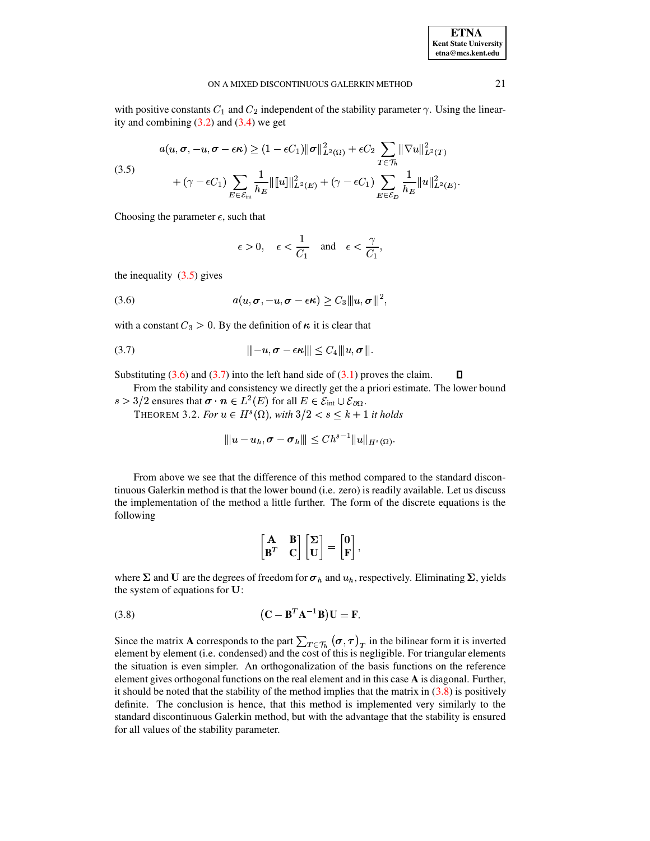<span id="page-4-0"></span>with positive constants  $C_1$  and  $C_2$  independent of the stability parameter  $\gamma$ . Using the linearity and combining  $(3.2)$  and  $(3.4)$  we get

(3.5)  

$$
a(u, \sigma, -u, \sigma - \epsilon \kappa) \ge (1 - \epsilon C_1) \|\sigma\|_{L^2(\Omega)}^2 + \epsilon C_2 \sum_{T \in \mathcal{T}_h} \|\nabla u\|_{L^2(T)}^2
$$

$$
+ (\gamma - \epsilon C_1) \sum_{E \in \mathcal{E}_{int}} \frac{1}{h_E} \|\llbracket u \rrbracket_{L^2(E)}^2 + (\gamma - \epsilon C_1) \sum_{E \in \mathcal{E}_D} \frac{1}{h_E} \|u\|_{L^2(E)}^2
$$

Choosing the parameter  $\epsilon$ , such that

<span id="page-4-2"></span>
$$
\epsilon > 0
$$
,  $\epsilon < \frac{1}{C_1}$  and  $\epsilon < \frac{\gamma}{C_1}$ ,

<span id="page-4-1"></span>the inequality  $(3.5)$  gives

(3.6) 
$$
a(u, \sigma, -u, \sigma - \epsilon \kappa) \geq C_3 ||u, \sigma||^2,
$$

with a constant  $C_3 > 0$ . By the definition of  $\kappa$  it is clear that

Substituting  $(3.6)$  and  $(3.7)$  into the left hand side of  $(3.1)$  proves the claim. О

From the stability and consistency we directly get the a priori estimate. The lower bound  $s > 3/2$  ensures that  $\sigma \cdot n \in L^2(E)$  for all  $E \in \mathcal{E}_{int} \cup \mathcal{E}_{\partial \Omega}$ .

THEOREM 3.2. For  $u \in H^s(\Omega)$ , with  $3/2 < s \leq k + 1$  it holds

$$
||u-u_h, \sigma-\sigma_h||| \leq Ch^{s-1}||u||_{H^s(\Omega)}.
$$

From above we see that the difference of this method compared to the standard discontinuous Galerkin method is that the lower bound (i.e. zero) is readily available. Let us discuss the implementation of the method a little further. The form of the discrete equations is the following

$$
\begin{bmatrix} \mathbf{A} & \mathbf{B} \\ \mathbf{B}^T & \mathbf{C} \end{bmatrix} \begin{bmatrix} \Sigma \\ \mathbf{U} \end{bmatrix} = \begin{bmatrix} \mathbf{0} \\ \mathbf{F} \end{bmatrix},
$$

<span id="page-4-3"></span>where  $\Sigma$  and U are the degrees of freedom for  $\sigma_h$  and  $u_h$ , respectively. Eliminating  $\Sigma$ , yields the system of equations for U:

$$
(3.8) \qquad (\mathbf{C} - \mathbf{B}^T \mathbf{A}^{-1} \mathbf{B}) \mathbf{U} = \mathbf{F}.
$$

Since the matrix **A** corresponds to the part  $\sum_{T \in \mathcal{T}_h} (\sigma, \tau)_T$  in the bilinear form it is inverted element by element (i.e. condensed) and the cost of this is negligible. For triangular elements the situation is even simpler. An orthogonalization of the basis functions on the reference element gives orthogonal functions on the real element and in this case A is diagonal. Further, it should be noted that the stability of the method implies that the matrix in  $(3.8)$  is positively definite. The conclusion is hence, that this method is implemented very similarly to the standard discontinuous Galerkin method, but with the advantage that the stability is ensured for all values of the stability parameter.

21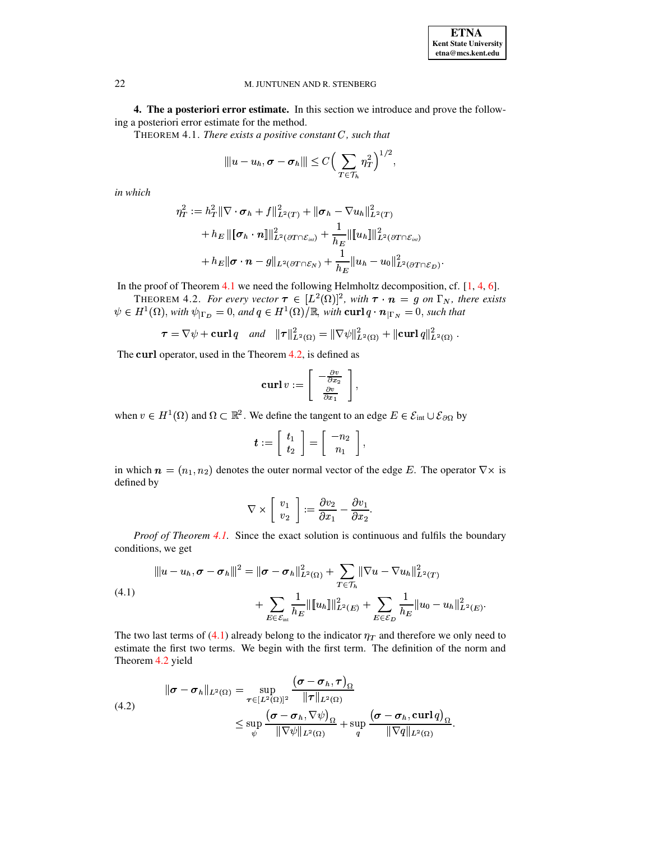4. The a posteriori error estimate. In this section we introduce and prove the following a posteriori error estimate for the method.

THEOREM 4.1. There exists a positive constant  $C$ , such that

<span id="page-5-0"></span>
$$
||u - u_h, \sigma - \sigma_h||| \leq C \Big(\sum_{T \in \mathcal{T}_h} \eta_T^2\Big)^{1/2}
$$

in which

$$
\eta_T^2 := h_T^2 \|\nabla \cdot \sigma_h + f\|_{L^2(T)}^2 + \|\sigma_h - \nabla u_h\|_{L^2(T)}^2 \n+ h_E \|\[\sigma_h \cdot n\]\|_{L^2(\partial T \cap \mathcal{E}_{int})}^2 + \frac{1}{h_E} \|\[u_h\]\|_{L^2(\partial T \cap \mathcal{E}_{int})}^2 \n+ h_E \|\sigma \cdot n - g\|_{L^2(\partial T \cap \mathcal{E}_N)} + \frac{1}{h_E} \|u_h - u_0\|_{L^2(\partial T \cap \mathcal{E}_D)}^2
$$

In the proof of Theorem  $4.1$  we need the following Helmholtz decomposition, cf.  $[1, 4, 6]$ .

<span id="page-5-1"></span>THEOREM 4.2. For every vector  $\tau \in [L^2(\Omega)]^2$ , with  $\tau \cdot n = g$  on  $\Gamma_N$ , there exists  $\psi \in H^1(\Omega)$ , with  $\psi_{|\Gamma_D} = 0$ , and  $q \in H^1(\Omega)/\mathbb{R}$ , with  $\operatorname{curl} q \cdot n_{|\Gamma_N} = 0$ , such that

$$
\tau = \nabla \psi + \mathbf{curl} \, q \quad \text{and} \quad ||\tau||^2_{L^2(\Omega)} = ||\nabla \psi||^2_{L^2(\Omega)} + ||\mathbf{curl} \, q||^2_{L^2(\Omega)}.
$$

The curl operator, used in the Theorem  $4.2$ , is defined as

$$
\mathbf{curl}\,v:=\left[\begin{array}{c}-\frac{\partial v}{\partial x_2}\\\frac{\partial v}{\partial x_1}\end{array}\right],
$$

when  $v \in H^1(\Omega)$  and  $\Omega \subset \mathbb{R}^2$ . We define the tangent to an edge  $E \in \mathcal{E}_{int} \cup \mathcal{E}_{\partial \Omega}$  by

$$
\boldsymbol{t} := \left[ \begin{array}{c} t_1 \\ t_2 \end{array} \right] = \left[ \begin{array}{c} -n_2 \\ n_1 \end{array} \right],
$$

in which  $\mathbf{n} = (n_1, n_2)$  denotes the outer normal vector of the edge E. The operator  $\nabla \times$  is defined by

$$
\nabla \times \left[ \begin{array}{c} v_1 \\ v_2 \end{array} \right] := \frac{\partial v_2}{\partial x_1} - \frac{\partial v_1}{\partial x_2}
$$

<span id="page-5-2"></span>*Proof of Theorem 4.1.* Since the exact solution is continuous and fulfils the boundary conditions, we get

(4.1)  

$$
\|u - u_h, \sigma - \sigma_h\|^2 = \|\sigma - \sigma_h\|^2_{L^2(\Omega)} + \sum_{T \in \mathcal{T}_h} \|\nabla u - \nabla u_h\|^2_{L^2(T)}
$$

$$
+ \sum_{E \in \mathcal{E}_{int}} \frac{1}{h_E} \|\tilde{u}_h\|^2_{L^2(E)} + \sum_{E \in \mathcal{E}_D} \frac{1}{h_E} \|u_0 - u_h\|^2_{L^2(E)}
$$

The two last terms of (4.1) already belong to the indicator  $\eta_T$  and therefore we only need to estimate the first two terms. We begin with the first term. The definition of the norm and Theorem 4.2 yield

<span id="page-5-3"></span>(4.2)  
\n
$$
\|\boldsymbol{\sigma} - \boldsymbol{\sigma}_h\|_{L^2(\Omega)} = \sup_{\boldsymbol{\tau} \in [L^2(\Omega)]^2} \frac{(\boldsymbol{\sigma} - \boldsymbol{\sigma}_h, \boldsymbol{\tau})_{\Omega}}{\|\boldsymbol{\tau}\|_{L^2(\Omega)}} \leq \sup_{\psi} \frac{(\boldsymbol{\sigma} - \boldsymbol{\sigma}_h, \nabla \psi)_{\Omega}}{\|\nabla \psi\|_{L^2(\Omega)} + \sup_{q} \frac{(\boldsymbol{\sigma} - \boldsymbol{\sigma}_h, \operatorname{curl} q)_{\Omega}}{\|\nabla q\|_{L^2(\Omega)}}.
$$

22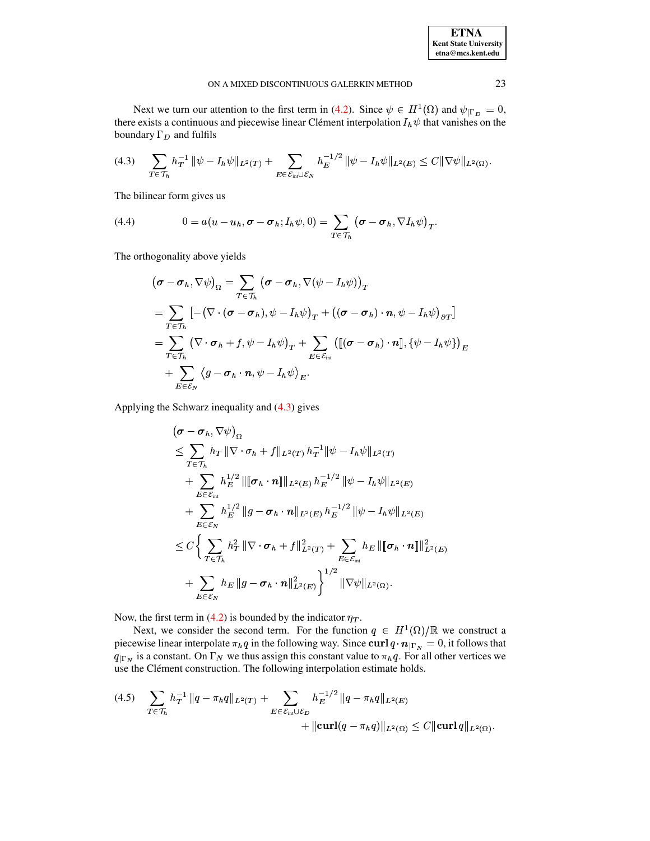| <b>ETNA</b>                  |
|------------------------------|
| <b>Kent State University</b> |
| etna@mcs.kent.edu            |

Next we turn our attention to the first term in (4.2). Since  $\psi \in H^1(\Omega)$  and  $\psi|_{\Gamma_D} = 0$ , there exists a continuous and piecewise linear Clément interpolation  $I_h \psi$  that vanishes on the boundary  $\Gamma_D$  and fulfils

<span id="page-6-0"></span>
$$
(4.3) \quad \sum_{T \in \mathcal{T}_h} h_T^{-1} \|\psi - I_h \psi\|_{L^2(T)} + \sum_{E \in \mathcal{E}_{\text{int}} \cup \mathcal{E}_N} h_E^{-1/2} \|\psi - I_h \psi\|_{L^2(E)} \leq C \|\nabla \psi\|_{L^2(\Omega)}.
$$

The bilinear form gives us

(4.4) 
$$
0 = a(u - u_h, \sigma - \sigma_h; I_h \psi, 0) = \sum_{T \in \mathcal{T}_h} (\sigma - \sigma_h, \nabla I_h \psi)_T.
$$

The orthogonality above yields

$$
(\boldsymbol{\sigma} - \boldsymbol{\sigma}_h, \nabla \psi)_\Omega = \sum_{T \in \mathcal{T}_h} (\boldsymbol{\sigma} - \boldsymbol{\sigma}_h, \nabla (\psi - I_h \psi))_T
$$
  
\n
$$
= \sum_{T \in \mathcal{T}_h} \left[ -(\nabla \cdot (\boldsymbol{\sigma} - \boldsymbol{\sigma}_h), \psi - I_h \psi)_T + ((\boldsymbol{\sigma} - \boldsymbol{\sigma}_h) \cdot \boldsymbol{n}, \psi - I_h \psi)_{\partial T} \right]
$$
  
\n
$$
= \sum_{T \in \mathcal{T}_h} (\nabla \cdot \boldsymbol{\sigma}_h + f, \psi - I_h \psi)_T + \sum_{E \in \mathcal{E}_{int}} \left( [(\boldsymbol{\sigma} - \boldsymbol{\sigma}_h) \cdot \boldsymbol{n}], \{\psi - I_h \psi\} \right)_E
$$
  
\n
$$
+ \sum_{E \in \mathcal{E}_N} \langle g - \boldsymbol{\sigma}_h \cdot \boldsymbol{n}, \psi - I_h \psi \rangle_E.
$$

Applying the Schwarz inequality and  $(4.3)$  gives

$$
(\sigma - \sigma_h, \nabla \psi)_{\Omega}
$$
  
\n
$$
\leq \sum_{T \in \mathcal{T}_h} h_T \|\nabla \cdot \sigma_h + f\|_{L^2(T)} h_T^{-1} \|\psi - I_h \psi\|_{L^2(T)}
$$
  
\n
$$
+ \sum_{E \in \mathcal{E}_{int}} h_E^{1/2} \|\[\sigma_h \cdot n\]\|_{L^2(E)} h_E^{-1/2} \|\psi - I_h \psi\|_{L^2(E)}
$$
  
\n
$$
+ \sum_{E \in \mathcal{E}_N} h_E^{1/2} \|g - \sigma_h \cdot n\|_{L^2(E)} h_E^{-1/2} \|\psi - I_h \psi\|_{L^2(E)}
$$
  
\n
$$
\leq C \Biggl\{ \sum_{T \in \mathcal{T}_h} h_T^2 \|\nabla \cdot \sigma_h + f\|_{L^2(T)}^2 + \sum_{E \in \mathcal{E}_{int}} h_E \|\[\sigma_h \cdot n\]\|_{L^2(E)}^2
$$
  
\n
$$
+ \sum_{E \in \mathcal{E}_N} h_E \ \|g - \sigma_h \cdot n\|_{L^2(E)}^2 \Biggr\}^{1/2} \|\nabla \psi\|_{L^2(\Omega)}.
$$

Now, the first term in (4.2) is bounded by the indicator  $\eta_T$ .

Next, we consider the second term. For the function  $q \in H^1(\Omega)/\mathbb{R}$  we construct a piecewise linear interpolate  $\pi_h q$  in the following way. Since curl  $q \cdot n_{\mid \Gamma_N} = 0$ , it follows that  $q_{\mid \Gamma_N}$  is a constant. On  $\Gamma_N$  we thus assign this constant value to  $\pi_h q$ . For all other vertices we use the Clément construction. The following interpolation estimate holds.

<span id="page-6-1"></span>
$$
(4.5) \quad \sum_{T \in \mathcal{T}_h} h_T^{-1} \|q - \pi_h q\|_{L^2(T)} + \sum_{E \in \mathcal{E}_{int} \cup \mathcal{E}_D} h_E^{-1/2} \|q - \pi_h q\|_{L^2(E)} + \|\text{curl}(q - \pi_h q)\|_{L^2(\Omega)} \le C \|\text{curl}\, q\|_{L^2(\Omega)}.
$$

23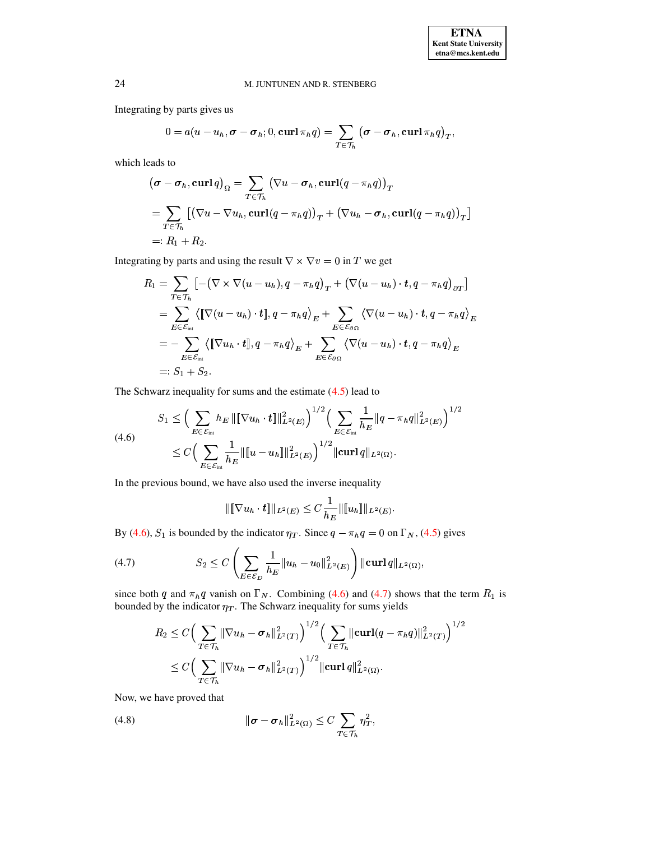Integrating by parts gives us

$$
0 = a(u - u_h, \sigma - \sigma_h; 0, \operatorname{curl} \pi_h q) = \sum_{T \in \mathcal{T}_h} (\sigma - \sigma_h, \operatorname{curl} \pi_h q)_T,
$$

which leads to

$$
(\boldsymbol{\sigma} - \boldsymbol{\sigma}_h, \mathbf{curl}\,q)_{\Omega} = \sum_{T \in \mathcal{T}_h} (\nabla u - \boldsymbol{\sigma}_h, \mathbf{curl}(q - \pi_h q))_T
$$
  
= 
$$
\sum_{T \in \mathcal{T}_h} [(\nabla u - \nabla u_h, \mathbf{curl}(q - \pi_h q))_T + (\nabla u_h - \boldsymbol{\sigma}_h, \mathbf{curl}(q - \pi_h q))_T]
$$
  
=:  $R_1 + R_2$ .

Integrating by parts and using the result  $\nabla \times \nabla v = 0$  in T we get

$$
R_1 = \sum_{T \in \mathcal{T}_h} \left[ -(\nabla \times \nabla (u - u_h), q - \pi_h q)_T + (\nabla (u - u_h) \cdot \boldsymbol{t}, q - \pi_h q)_{\partial T} \right]
$$
  
\n
$$
= \sum_{E \in \mathcal{E}_{int}} \left\langle \left[ \nabla (u - u_h) \cdot \boldsymbol{t} \right], q - \pi_h q \right\rangle_E + \sum_{E \in \mathcal{E}_{\partial \Omega}} \left\langle \nabla (u - u_h) \cdot \boldsymbol{t}, q - \pi_h q \right\rangle_E
$$
  
\n
$$
= - \sum_{E \in \mathcal{E}_{int}} \left\langle \left[ \nabla u_h \cdot \boldsymbol{t} \right], q - \pi_h q \right\rangle_E + \sum_{E \in \mathcal{E}_{\partial \Omega}} \left\langle \nabla (u - u_h) \cdot \boldsymbol{t}, q - \pi_h q \right\rangle_E
$$
  
\n
$$
=: S_1 + S_2.
$$

The Schwarz inequality for sums and the estimate  $(4.5)$  lead to

$$
S_1 \leq \Big( \sum_{E \in \mathcal{E}_{int}} h_E \left\| \left[ \nabla u_h \cdot \mathbf{t} \right] \right\|_{L^2(E)}^2 \Big)^{1/2} \Big( \sum_{E \in \mathcal{E}_{int}} \frac{1}{h_E} \left\| q - \pi_h q \right\|_{L^2(E)}^2 \Big)^{1/2} \n\leq C \Big( \sum_{E \in \mathcal{E}_{int}} \frac{1}{h_E} \left\| \left[ u - u_h \right] \right\|_{L^2(E)}^2 \Big)^{1/2} \|\mathbf{curl} q \|_{L^2(\Omega)}.
$$

In the previous bound, we have also used the inverse inequality

<span id="page-7-1"></span><span id="page-7-0"></span>
$$
\|\[\nabla u_h \cdot \boldsymbol{t}\]\|_{L^2(E)} \leq C \frac{1}{h_E} \|\[\![u_h]\]\|_{L^2(E)}
$$

By (4.6),  $S_1$  is bounded by the indicator  $\eta_T$ . Since  $q - \pi_h q = 0$  on  $\Gamma_N$ , (4.5) gives

(4.7) 
$$
S_2 \leq C \left( \sum_{E \in \mathcal{E}_D} \frac{1}{h_E} ||u_h - u_0||^2_{L^2(E)} \right) ||\mathbf{curl} q||_{L^2(\Omega)},
$$

since both q and  $\pi_h q$  vanish on  $\Gamma_N$ . Combining (4.6) and (4.7) shows that the term  $R_1$  is bounded by the indicator  $\eta_T$ . The Schwarz inequality for sums yields

$$
R_2 \leq C \Big( \sum_{T \in \mathcal{T}_h} ||\nabla u_h - \sigma_h||_{L^2(T)}^2 \Big)^{1/2} \Big( \sum_{T \in \mathcal{T}_h} ||\mathbf{curl}(q - \pi_h q)||_{L^2(T)}^2 \Big)^{1/2}
$$
  

$$
\leq C \Big( \sum_{T \in \mathcal{T}_h} ||\nabla u_h - \sigma_h||_{L^2(T)}^2 \Big)^{1/2} ||\mathbf{curl} q||_{L^2(\Omega)}^2.
$$

<span id="page-7-2"></span>Now, we have proved that

(4.8) 
$$
\|\boldsymbol{\sigma} - \boldsymbol{\sigma}_h\|_{L^2(\Omega)}^2 \leq C \sum_{T \in \mathcal{T}_h} \eta_T^2,
$$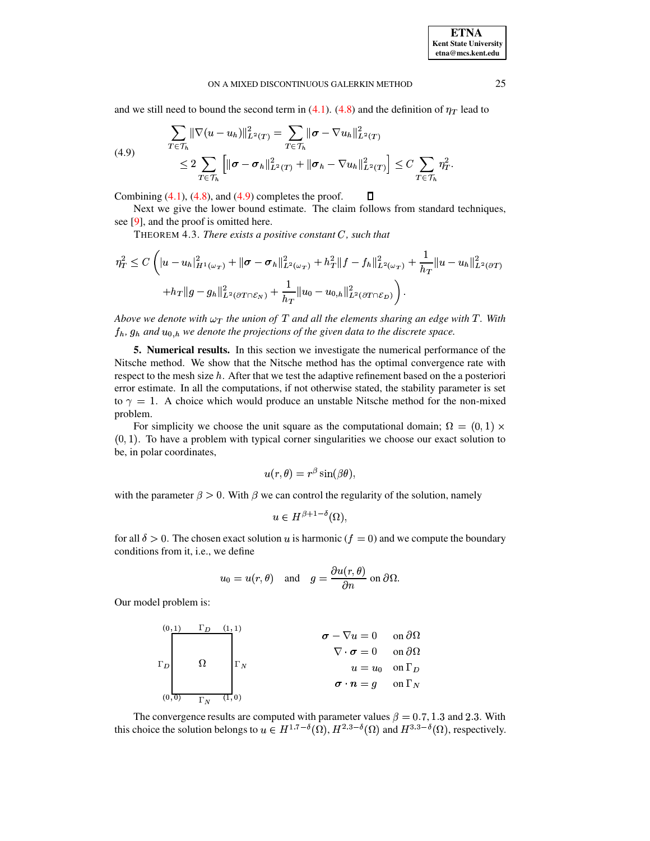and we still need to bound the second term in [\(4.1\)](#page-5-2). [\(4.8\)](#page-7-2) and the definition of  $\eta_T$  lead to

(4.9) 
$$
\sum_{T \in \mathcal{T}_h} \|\nabla(u - u_h)\|_{L^2(T)}^2 = \sum_{T \in \mathcal{T}_h} \|\sigma - \nabla u_h\|_{L^2(T)}^2
$$

$$
\leq 2 \sum_{T \in \mathcal{T}_h} \left[ \|\sigma - \sigma_h\|_{L^2(T)}^2 + \|\sigma_h - \nabla u_h\|_{L^2(T)}^2 \right] \leq C \sum_{T \in \mathcal{T}_h} \eta_T^2.
$$

Combining  $(4.1)$ ,  $(4.8)$ , and  $(4.9)$  completes the proof. O

Next we give the lower bound estimate. The claim follows from standard techniques, see [\[9\]](#page-15-8), and the proof is omitted here.

THEOREM 4.3. *There exists a positive constant C, such that* 

$$
\eta_T^2 \leq C \left( |u - u_h|_{H^1(\omega_T)}^2 + ||\boldsymbol{\sigma} - \boldsymbol{\sigma}_h||_{L^2(\omega_T)}^2 + h_T^2 ||f - f_h||_{L^2(\omega_T)}^2 + \frac{1}{h_T} ||u - u_h||_{L^2(\partial T)}^2 + h_T ||g - g_h||_{L^2(\partial T \cap \mathcal{E}_N)}^2 + \frac{1}{h_T} ||u_0 - u_{0,h}||_{L^2(\partial T \cap \mathcal{E}_D)}^2 \right).
$$

*Above* we denote with  $\omega_T$  the union of T and all the elements sharing an edge with T. With  $f_h$ ,  $g_h$  and  $u_{0,h}$  we denote the projections of the given data to the discrete space.

**5. Numerical results.** In this section we investigate the numerical performance of the Nitsche method. We show that the Nitsche method has the optimal convergence rate with respect to the mesh size  $h$ . After that we test the adaptive refinement based on the a posteriori error estimate. In all the computations, if not otherwise stated, the stability parameter is set to  $\gamma = 1$ . A choice which would produce an unstable Nitsche method for the non-mixed problem.

For simplicity we choose the unit square as the computational domain;  $\Omega = (0,1) \times$  $(0, 1)$ . To have a problem with typical corner singularities we choose our exact solution to be, in polar coordinates,

$$
u(r,\theta)=r^{\beta}\sin(\beta\theta),
$$

with the parameter  $\beta > 0$ . With  $\beta$  we can control the regularity of the solution, namely

$$
u \in H^{\beta+1-\delta}(\Omega),
$$

for all  $\delta > 0$ . The chosen exact solution u is harmonic ( $f = 0$ ) and we compute the boundary conditions from it, i.e., we define

$$
u_0 = u(r, \theta)
$$
 and  $g = \frac{\partial u(r, \theta)}{\partial n}$  on  $\partial \Omega$ .

Our model problem is:

$$
\begin{array}{c}\n\begin{array}{ccc}\n(0,1) & \Gamma_D & (1,1) \\
\hline\n\end{array} \\
\Gamma_D\n\end{array}\n\qquad\n\begin{array}{c}\n\begin{array}{ccc}\n\Gamma_D & (1,1) \\
\hline\n\end{array} \\
\Gamma_N\n\end{array}\n\qquad\n\begin{array}{c}\n\sigma - \nabla u = 0 & \text{on } \partial\Omega \\
\nabla \cdot \sigma = 0 & \text{on } \partial\Omega \\
u = u_0 & \text{on } \Gamma_D \\
\sigma \cdot n = g & \text{on } \Gamma_N\n\end{array}
$$

The convergence results are computed with parameter values  $\beta = 0.7, 1.3$  and 2.3. With this choice the solution belongs to  $u \in H^{1.7-\delta}(\Omega)$ ,  $H^{2.3-\delta}(\Omega)$  and  $H^{3.3-\delta}(\Omega)$ , respectively.

<span id="page-8-0"></span>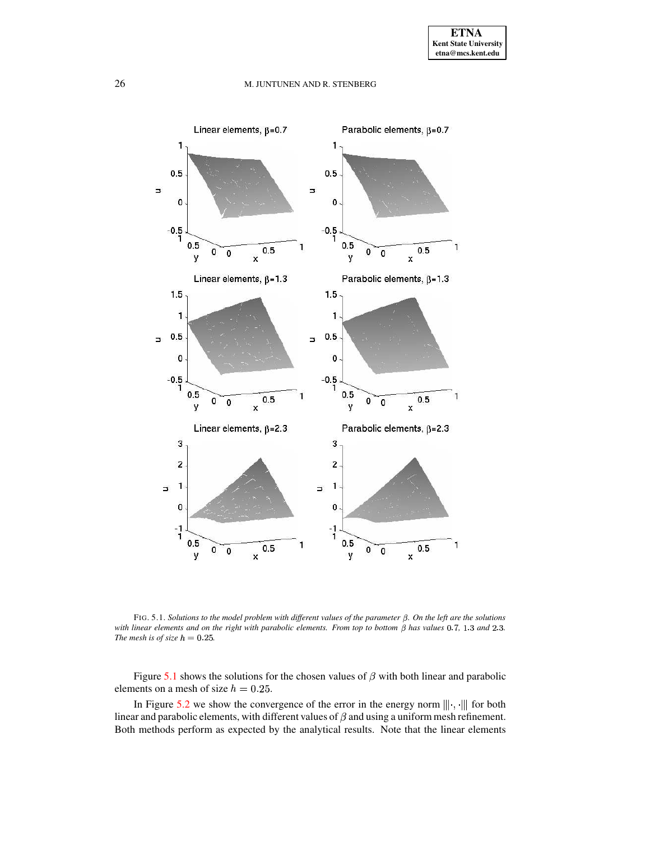

<span id="page-9-0"></span>FIG. 5.1. Solutions to the model problem with different values of the parameter  $\beta$ . On the left are the solutions with linear elements and on the right with parabolic elements. From top to bottom  $\beta$  has values 0.7, 1.3 and 2.3. *The mesh is of size*  $h = 0.25$ .

Figure [5.1](#page-9-0) shows the solutions for the chosen values of  $\beta$  with both linear and parabolic elements on a mesh of size  $h = 0.25$ .

In Figure [5.2](#page-10-0) we show the convergence of the error in the energy norm  $\|\cdot\|$ ,  $\|\cdot\|$  for both linear and parabolic elements, with different values of  $\beta$  and using a uniform mesh refinement. Both methods perform as expected by the analytical results. Note that the linear elements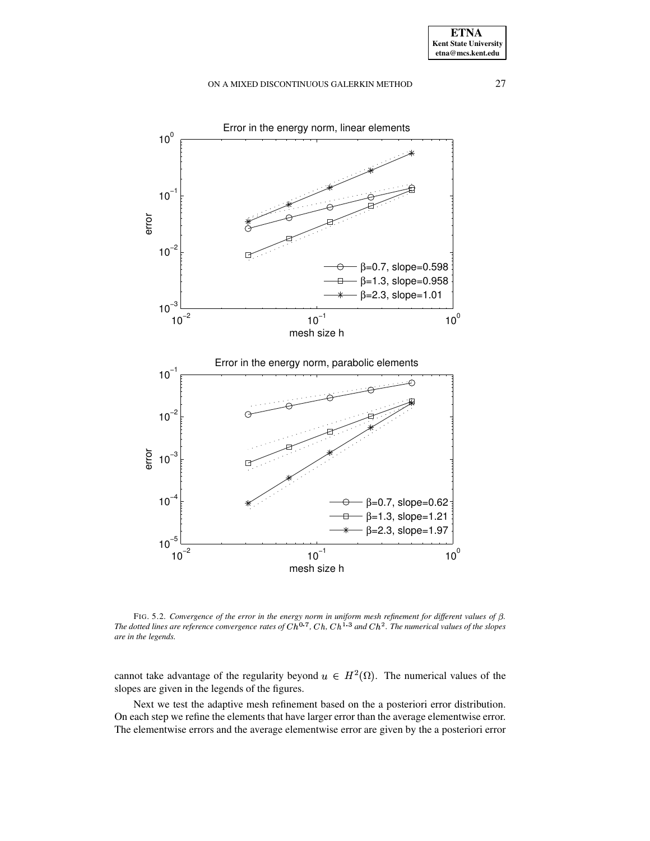

error



<span id="page-10-0"></span>FIG. 5.2. Convergence of the error in the energy norm in uniform mesh refinement for different values of  $\beta$ . The dotted lines are reference convergence rates of  $Ch^{0.7}$ ,  $Ch, Ch^{1.3}$  and  $Ch^2$ . The numerical values of the slopes *are in the legends.*

cannot take advantage of the regularity beyond  $u \in H^2(\Omega)$ . The numerical values of the slopes are given in the legends of the figures.

Next we test the adaptive mesh refinement based on the a posteriori error distribution. On each step we refine the elements that have larger error than the average elementwise error. The elementwise errors and the average elementwise error are given by the a posteriori error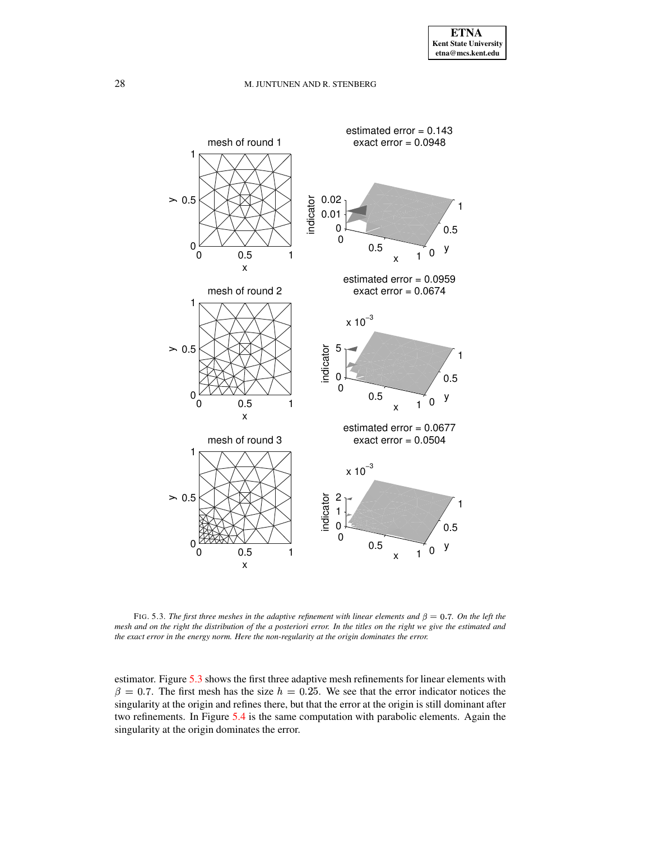

<span id="page-11-0"></span>FIG. 5.3. The first three meshes in the adaptive refinement with linear elements and  $\beta = 0.7$ . On the left the mesh and on the right the distribution of the a posteriori error. In the titles on the right we give the estimated and *the exact error in the energy norm. Here the non-regularity at the origin dominates the error.*

estimator. Figure [5.3](#page-11-0) shows the first three adaptive mesh refinements for linear elements with  $\beta = 0.7$ . The first mesh has the size  $h = 0.25$ . We see that the error indicator notices the singularity at the origin and refines there, but that the error at the origin is still dominant after two refinements. In Figure [5.4](#page-12-0) is the same computation with parabolic elements. Again the singularity at the origin dominates the error.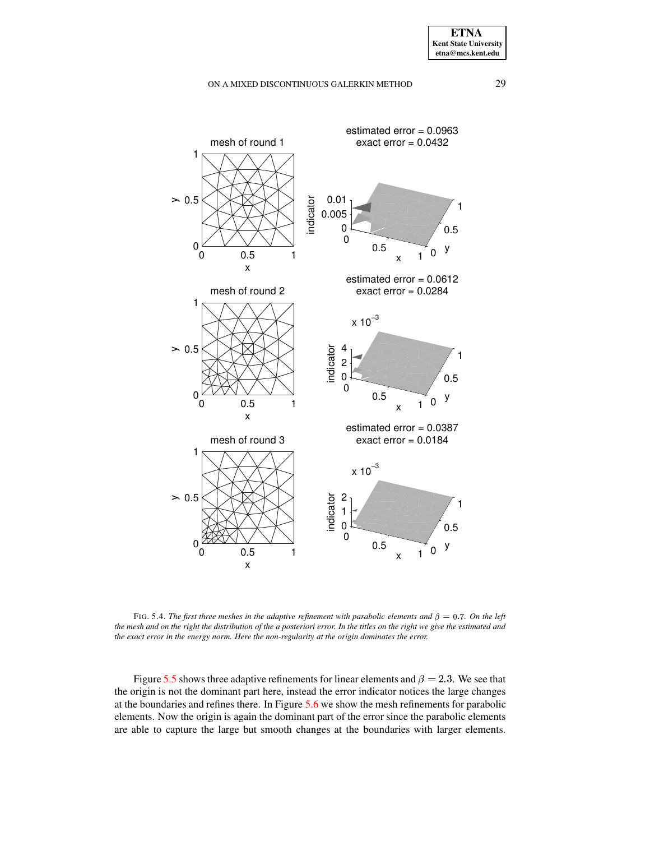

<span id="page-12-0"></span>FIG. 5.4. *The first three meshes in the adaptive refinement with parabolic elements and*  $\beta = 0.7$ *. On the left* the mesh and on the right the distribution of the a posteriori error. In the titles on the right we give the estimated and *the exact error in the energy norm. Here the non-regularity at the origin dominates the error.*

Figure [5.5](#page-13-0) shows three adaptive refinements for linear elements and  $\beta = 2.3$ . We see that the origin is not the dominant part here, instead the error indicator notices the large changes at the boundaries and refines there. In Figure [5.6](#page-14-0) we show the mesh refinements for parabolic elements. Now the origin is again the dominant part of the error since the parabolic elements are able to capture the large but smooth changes at the boundaries with larger elements.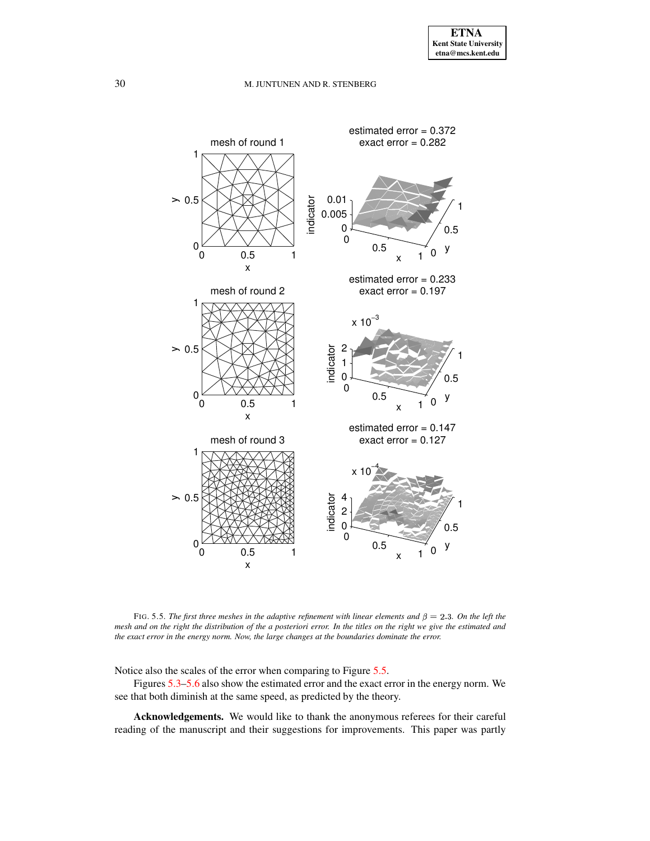

<span id="page-13-0"></span>FIG. 5.5. The first three meshes in the adaptive refinement with linear elements and  $\beta = 2.3$ . On the left the mesh and on the right the distribution of the a posteriori error. In the titles on the right we give the estimated and *the exact error in the energy norm. Now, the large changes at the boundaries dominate the error.*

Notice also the scales of the error when comparing to Figure [5.5.](#page-13-0)

Figures [5.3–](#page-11-0)[5.6](#page-14-0) also show the estimated error and the exact error in the energy norm. We see that both diminish at the same speed, as predicted by the theory.

**Acknowledgements.** We would like to thank the anonymous referees for their careful reading of the manuscript and their suggestions for improvements. This paper was partly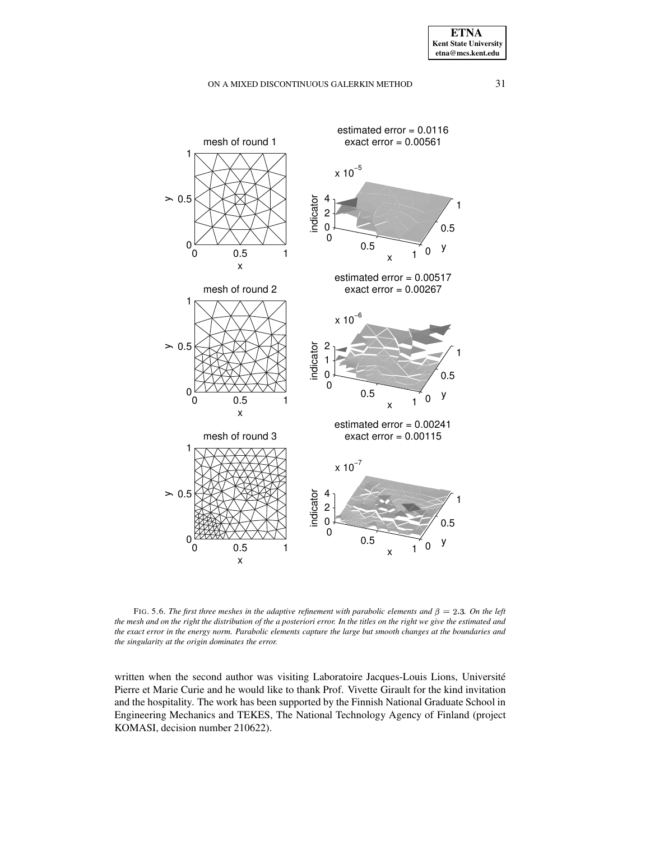

<span id="page-14-0"></span>FIG. 5.6. *The first three meshes in the adaptive refinement with parabolic elements and*  $\beta = 2.3$ *. On the left* the mesh and on the right the distribution of the a posteriori error. In the titles on the right we give the estimated and the exact error in the energy norm. Parabolic elements capture the large but smooth changes at the boundaries and *the singularity at the origin dominates the error.*

written when the second author was visiting Laboratoire Jacques-Louis Lions, Université Pierre et Marie Curie and he would like to thank Prof. Vivette Girault for the kind invitation and the hospitality. The work has been supported by the Finnish National Graduate School in Engineering Mechanics and TEKES, The National Technology Agency of Finland (project KOMASI, decision number 210622).